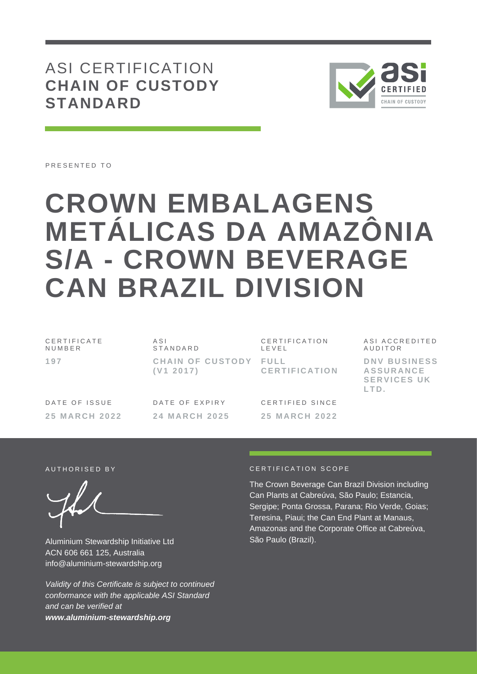ASI CERTIFICATION **CHAIN OF CUSTODY STANDARD**



PRESENTED TO

# **CROWN EMBALAGENS METÁLICAS DA AMAZÔNIA S/A - CROWN BEVERAGE CAN BRAZIL DIVISION**

| CERTIFICATE<br>NUMBER | ASI<br>STANDARD                    | <b>CERTIFICATION</b><br>LEVEL | ASI ACCREDITED<br>AUDITOR                                      |
|-----------------------|------------------------------------|-------------------------------|----------------------------------------------------------------|
| 197                   | CHAIN OF CUSTODY FULL<br>(V1 2017) | CERTIFICATION                 | DNV BUSINESS<br><b>ASSURANCE</b><br><b>SERVICES UK</b><br>LTD. |
| DATE OF ISSUE         | DATE OF EXPIRY                     | CERTIFIED SINCE               |                                                                |

**24 M A R C H 2 0 2 5**

**25 M A R C H 2 0 2 2**

Aluminium Stewardship Initiative Ltd ACN 606 661 125, Australia info@aluminium-stewardship.org

*Validity of this Certificate is subject to continued conformance with the applicable ASI Standard and can be verified at www.aluminium-stewardship.org*

## A UTHORISED BY CERTIFICATION SCOPE

**25 M A R C H 2 0 2 2**

The Crown Beverage Can Brazil Division including Can Plants at Cabreúva, São Paulo; Estancia, Sergipe; Ponta Grossa, Parana; Rio Verde, Goias; Teresina, Piaui; the Can End Plant at Manaus, Amazonas and the Corporate Office at Cabreúva, São Paulo (Brazil).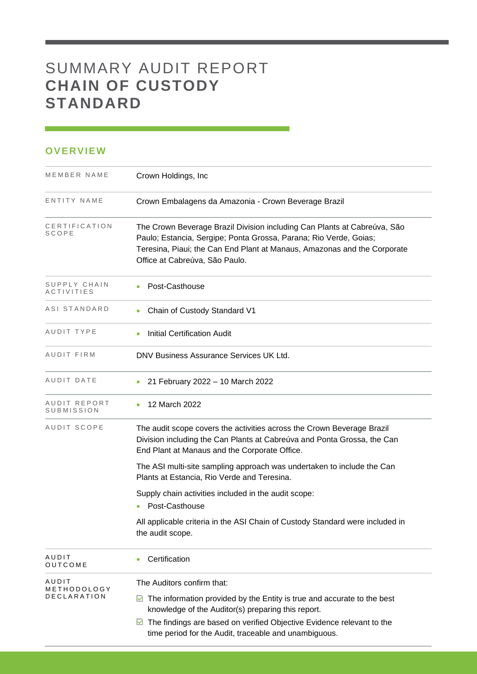## SUMMARY AUDIT REPORT **CHAIN OF CUSTODY STANDARD**

## **OVERVIEW**

| MEMBER NAME                | Crown Holdings, Inc.                                                                                                                                                                                                                                        |
|----------------------------|-------------------------------------------------------------------------------------------------------------------------------------------------------------------------------------------------------------------------------------------------------------|
| ENTITY NAME                | Crown Embalagens da Amazonia - Crown Beverage Brazil                                                                                                                                                                                                        |
| CERTIFICATION<br>SCOPE     | The Crown Beverage Brazil Division including Can Plants at Cabreúva, São<br>Paulo; Estancia, Sergipe; Ponta Grossa, Parana; Rio Verde, Goias;<br>Teresina, Piaui; the Can End Plant at Manaus, Amazonas and the Corporate<br>Office at Cabreúva, São Paulo. |
| SUPPLY CHAIN<br>ACTIVITIES | Post-Casthouse                                                                                                                                                                                                                                              |
| ASI STANDARD               | Chain of Custody Standard V1                                                                                                                                                                                                                                |
| AUDIT TYPE                 | <b>Initial Certification Audit</b><br>$\bullet$                                                                                                                                                                                                             |
| AUDIT FIRM                 | DNV Business Assurance Services UK Ltd.                                                                                                                                                                                                                     |
| AUDIT DATE                 | 21 February 2022 - 10 March 2022                                                                                                                                                                                                                            |
| AUDIT REPORT<br>SUBMISSION | 12 March 2022                                                                                                                                                                                                                                               |
| AUDIT SCOPE                | The audit scope covers the activities across the Crown Beverage Brazil<br>Division including the Can Plants at Cabreúva and Ponta Grossa, the Can<br>End Plant at Manaus and the Corporate Office.                                                          |
|                            | The ASI multi-site sampling approach was undertaken to include the Can<br>Plants at Estancia, Rio Verde and Teresina.                                                                                                                                       |
|                            | Supply chain activities included in the audit scope:<br>Post-Casthouse                                                                                                                                                                                      |
|                            | All applicable criteria in the ASI Chain of Custody Standard were included in<br>the audit scope.                                                                                                                                                           |
| AUDIT<br>OUTCOME           | Certification<br>۰                                                                                                                                                                                                                                          |
| AUDIT<br>METHODOLOGY       | The Auditors confirm that:                                                                                                                                                                                                                                  |
| DECLARATION                | The information provided by the Entity is true and accurate to the best<br>M<br>knowledge of the Auditor(s) preparing this report.                                                                                                                          |
|                            | The findings are based on verified Objective Evidence relevant to the<br>M<br>time period for the Audit, traceable and unambiguous.                                                                                                                         |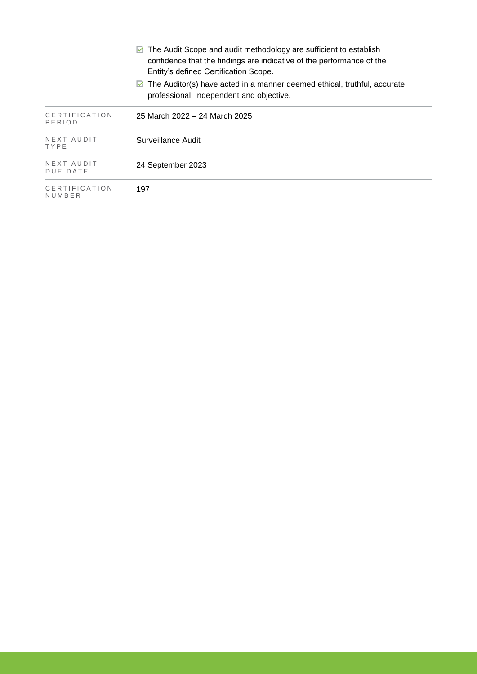|                         | $\triangleright$ The Audit Scope and audit methodology are sufficient to establish<br>confidence that the findings are indicative of the performance of the<br>Entity's defined Certification Scope. |
|-------------------------|------------------------------------------------------------------------------------------------------------------------------------------------------------------------------------------------------|
|                         | $\triangleright$ The Auditor(s) have acted in a manner deemed ethical, truthful, accurate<br>professional, independent and objective.                                                                |
| CERTIFICATION<br>PERIOD | 25 March 2022 – 24 March 2025                                                                                                                                                                        |
| NEXT AUDIT<br>TYPE      | Surveillance Audit                                                                                                                                                                                   |
| NEXT AUDIT<br>DUE DATE  | 24 September 2023                                                                                                                                                                                    |
| CERTIFICATION<br>NUMBER | 197                                                                                                                                                                                                  |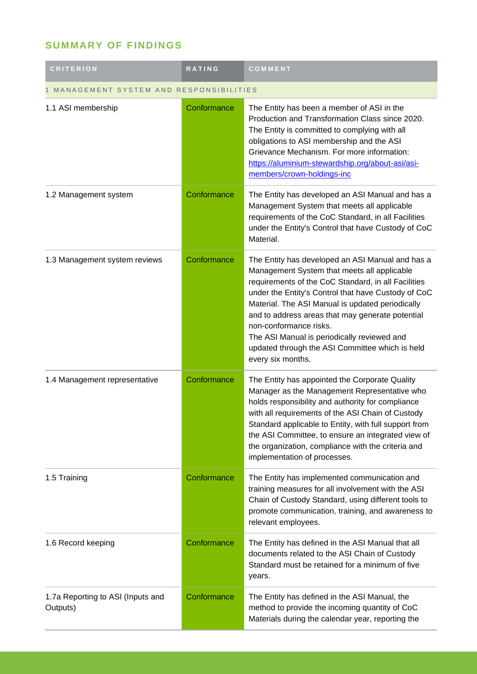## **SUMMARY OF FINDINGS**

| <b>CRITERION</b>                              | <b>RATING</b> | COMMENT                                                                                                                                                                                                                                                                                                                                                                                                                                                                |  |
|-----------------------------------------------|---------------|------------------------------------------------------------------------------------------------------------------------------------------------------------------------------------------------------------------------------------------------------------------------------------------------------------------------------------------------------------------------------------------------------------------------------------------------------------------------|--|
| MANAGEMENT SYSTEM AND RESPONSIBILITIES        |               |                                                                                                                                                                                                                                                                                                                                                                                                                                                                        |  |
| 1.1 ASI membership                            | Conformance   | The Entity has been a member of ASI in the<br>Production and Transformation Class since 2020.<br>The Entity is committed to complying with all<br>obligations to ASI membership and the ASI<br>Grievance Mechanism. For more information:<br>https://aluminium-stewardship.org/about-asi/asi-<br>members/crown-holdings-inc                                                                                                                                            |  |
| 1.2 Management system                         | Conformance   | The Entity has developed an ASI Manual and has a<br>Management System that meets all applicable<br>requirements of the CoC Standard, in all Facilities<br>under the Entity's Control that have Custody of CoC<br>Material.                                                                                                                                                                                                                                             |  |
| 1.3 Management system reviews                 | Conformance   | The Entity has developed an ASI Manual and has a<br>Management System that meets all applicable<br>requirements of the CoC Standard, in all Facilities<br>under the Entity's Control that have Custody of CoC<br>Material. The ASI Manual is updated periodically<br>and to address areas that may generate potential<br>non-conformance risks.<br>The ASI Manual is periodically reviewed and<br>updated through the ASI Committee which is held<br>every six months. |  |
| 1.4 Management representative                 | Conformance   | The Entity has appointed the Corporate Quality<br>Manager as the Management Representative who<br>holds responsibility and authority for compliance<br>with all requirements of the ASI Chain of Custody<br>Standard applicable to Entity, with full support from<br>the ASI Committee, to ensure an integrated view of<br>the organization, compliance with the criteria and<br>implementation of processes.                                                          |  |
| 1.5 Training                                  | Conformance   | The Entity has implemented communication and<br>training measures for all involvement with the ASI<br>Chain of Custody Standard, using different tools to<br>promote communication, training, and awareness to<br>relevant employees.                                                                                                                                                                                                                                  |  |
| 1.6 Record keeping                            | Conformance   | The Entity has defined in the ASI Manual that all<br>documents related to the ASI Chain of Custody<br>Standard must be retained for a minimum of five<br>years.                                                                                                                                                                                                                                                                                                        |  |
| 1.7a Reporting to ASI (Inputs and<br>Outputs) | Conformance   | The Entity has defined in the ASI Manual, the<br>method to provide the incoming quantity of CoC<br>Materials during the calendar year, reporting the                                                                                                                                                                                                                                                                                                                   |  |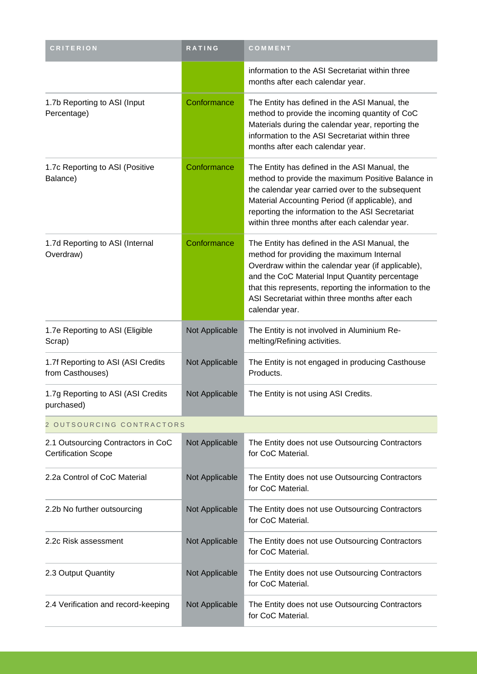| <b>CRITERION</b>                                                 | RATING         | COMMENT                                                                                                                                                                                                                                                                                                                          |  |
|------------------------------------------------------------------|----------------|----------------------------------------------------------------------------------------------------------------------------------------------------------------------------------------------------------------------------------------------------------------------------------------------------------------------------------|--|
|                                                                  |                | information to the ASI Secretariat within three<br>months after each calendar year.                                                                                                                                                                                                                                              |  |
| 1.7b Reporting to ASI (Input<br>Percentage)                      | Conformance    | The Entity has defined in the ASI Manual, the<br>method to provide the incoming quantity of CoC<br>Materials during the calendar year, reporting the<br>information to the ASI Secretariat within three<br>months after each calendar year.                                                                                      |  |
| 1.7c Reporting to ASI (Positive<br>Balance)                      | Conformance    | The Entity has defined in the ASI Manual, the<br>method to provide the maximum Positive Balance in<br>the calendar year carried over to the subsequent<br>Material Accounting Period (if applicable), and<br>reporting the information to the ASI Secretariat<br>within three months after each calendar year.                   |  |
| 1.7d Reporting to ASI (Internal<br>Overdraw)                     | Conformance    | The Entity has defined in the ASI Manual, the<br>method for providing the maximum Internal<br>Overdraw within the calendar year (if applicable),<br>and the CoC Material Input Quantity percentage<br>that this represents, reporting the information to the<br>ASI Secretariat within three months after each<br>calendar year. |  |
| 1.7e Reporting to ASI (Eligible<br>Scrap)                        | Not Applicable | The Entity is not involved in Aluminium Re-<br>melting/Refining activities.                                                                                                                                                                                                                                                      |  |
| 1.7f Reporting to ASI (ASI Credits<br>from Casthouses)           | Not Applicable | The Entity is not engaged in producing Casthouse<br>Products.                                                                                                                                                                                                                                                                    |  |
| 1.7g Reporting to ASI (ASI Credits<br>purchased)                 | Not Applicable | The Entity is not using ASI Credits.                                                                                                                                                                                                                                                                                             |  |
| 2 OUTSOURCING CONTRACTORS                                        |                |                                                                                                                                                                                                                                                                                                                                  |  |
| 2.1 Outsourcing Contractors in CoC<br><b>Certification Scope</b> | Not Applicable | The Entity does not use Outsourcing Contractors<br>for CoC Material.                                                                                                                                                                                                                                                             |  |
| 2.2a Control of CoC Material                                     | Not Applicable | The Entity does not use Outsourcing Contractors<br>for CoC Material.                                                                                                                                                                                                                                                             |  |
| 2.2b No further outsourcing                                      | Not Applicable | The Entity does not use Outsourcing Contractors<br>for CoC Material.                                                                                                                                                                                                                                                             |  |
| 2.2c Risk assessment                                             | Not Applicable | The Entity does not use Outsourcing Contractors<br>for CoC Material.                                                                                                                                                                                                                                                             |  |
| 2.3 Output Quantity                                              | Not Applicable | The Entity does not use Outsourcing Contractors<br>for CoC Material.                                                                                                                                                                                                                                                             |  |
| 2.4 Verification and record-keeping                              | Not Applicable | The Entity does not use Outsourcing Contractors<br>for CoC Material.                                                                                                                                                                                                                                                             |  |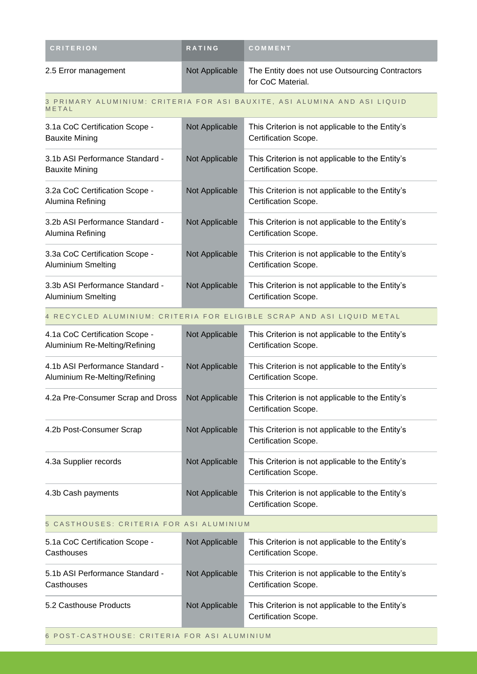| <b>CRITERION</b>     | <b>RATING</b>  | <b>COMMENT</b>                                                       |
|----------------------|----------------|----------------------------------------------------------------------|
| 2.5 Error management | Not Applicable | The Entity does not use Outsourcing Contractors<br>for CoC Material. |

#### 3 PRIMARY ALUMINIUM: CRITERIA FOR ASI BAUXITE, ASI ALUMINA AND ASI LIQUID **METAL**

| 3.1a CoC Certification Scope -<br>Bauxite Mining      | Not Applicable | This Criterion is not applicable to the Entity's<br>Certification Scope. |
|-------------------------------------------------------|----------------|--------------------------------------------------------------------------|
| 3.1b ASI Performance Standard -<br>Bauxite Mining     | Not Applicable | This Criterion is not applicable to the Entity's<br>Certification Scope. |
| 3.2a CoC Certification Scope -<br>Alumina Refining    | Not Applicable | This Criterion is not applicable to the Entity's<br>Certification Scope. |
| 3.2b ASI Performance Standard -<br>Alumina Refining   | Not Applicable | This Criterion is not applicable to the Entity's<br>Certification Scope. |
| 3.3a CoC Certification Scope -<br>Aluminium Smelting  | Not Applicable | This Criterion is not applicable to the Entity's<br>Certification Scope. |
| 3.3b ASI Performance Standard -<br>Aluminium Smelting | Not Applicable | This Criterion is not applicable to the Entity's<br>Certification Scope. |

#### 4 RECYCLED ALUMINIUM: CRITERIA FOR ELIGIBLE SCRAP AND ASI LIQUID METAL

| 4.1a CoC Certification Scope -<br>Aluminium Re-Melting/Refining  | Not Applicable | This Criterion is not applicable to the Entity's<br>Certification Scope. |
|------------------------------------------------------------------|----------------|--------------------------------------------------------------------------|
| 4.1b ASI Performance Standard -<br>Aluminium Re-Melting/Refining | Not Applicable | This Criterion is not applicable to the Entity's<br>Certification Scope. |
| 4.2a Pre-Consumer Scrap and Dross                                | Not Applicable | This Criterion is not applicable to the Entity's<br>Certification Scope. |
| 4.2b Post-Consumer Scrap                                         | Not Applicable | This Criterion is not applicable to the Entity's<br>Certification Scope. |
| 4.3a Supplier records                                            | Not Applicable | This Criterion is not applicable to the Entity's<br>Certification Scope. |
| 4.3b Cash payments                                               | Not Applicable | This Criterion is not applicable to the Entity's<br>Certification Scope. |

### 5 CASTHOUSES: CRITERIA FOR ASI ALUMINIUM

| 5.1a CoC Certification Scope -<br>Casthouses  | Not Applicable | This Criterion is not applicable to the Entity's<br>Certification Scope. |
|-----------------------------------------------|----------------|--------------------------------------------------------------------------|
| 5.1b ASI Performance Standard -<br>Casthouses | Not Applicable | This Criterion is not applicable to the Entity's<br>Certification Scope. |
| 5.2 Casthouse Products                        | Not Applicable | This Criterion is not applicable to the Entity's<br>Certification Scope. |

6 POST-CASTHOUSE: CRITERIA FOR ASI ALUMINIUM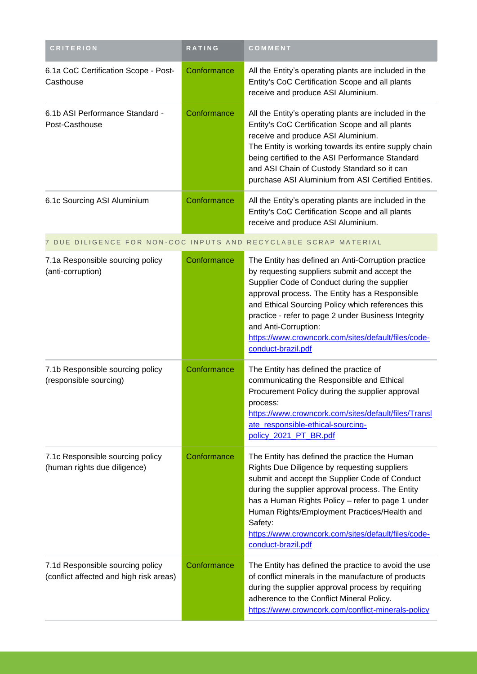| <b>CRITERION</b>                                                            | RATING      | COMMENT                                                                                                                                                                                                                                                                                                                                                                                                                |
|-----------------------------------------------------------------------------|-------------|------------------------------------------------------------------------------------------------------------------------------------------------------------------------------------------------------------------------------------------------------------------------------------------------------------------------------------------------------------------------------------------------------------------------|
| 6.1a CoC Certification Scope - Post-<br>Casthouse                           | Conformance | All the Entity's operating plants are included in the<br>Entity's CoC Certification Scope and all plants<br>receive and produce ASI Aluminium.                                                                                                                                                                                                                                                                         |
| 6.1b ASI Performance Standard -<br>Post-Casthouse                           | Conformance | All the Entity's operating plants are included in the<br>Entity's CoC Certification Scope and all plants<br>receive and produce ASI Aluminium.<br>The Entity is working towards its entire supply chain<br>being certified to the ASI Performance Standard<br>and ASI Chain of Custody Standard so it can<br>purchase ASI Aluminium from ASI Certified Entities.                                                       |
| 6.1c Sourcing ASI Aluminium                                                 | Conformance | All the Entity's operating plants are included in the<br>Entity's CoC Certification Scope and all plants<br>receive and produce ASI Aluminium.                                                                                                                                                                                                                                                                         |
|                                                                             |             | 7 DUE DILIGENCE FOR NON-COC INPUTS AND RECYCLABLE SCRAP MATERIAL                                                                                                                                                                                                                                                                                                                                                       |
| 7.1a Responsible sourcing policy<br>(anti-corruption)                       | Conformance | The Entity has defined an Anti-Corruption practice<br>by requesting suppliers submit and accept the<br>Supplier Code of Conduct during the supplier<br>approval process. The Entity has a Responsible<br>and Ethical Sourcing Policy which references this<br>practice - refer to page 2 under Business Integrity<br>and Anti-Corruption:<br>https://www.crowncork.com/sites/default/files/code-<br>conduct-brazil.pdf |
| 7.1b Responsible sourcing policy<br>(responsible sourcing)                  | Conformance | The Entity has defined the practice of<br>communicating the Responsible and Ethical<br>Procurement Policy during the supplier approval<br>process:<br>https://www.crowncork.com/sites/default/files/Transl<br>ate_responsible-ethical-sourcing-<br>policy_2021_PT_BR.pdf                                                                                                                                               |
| 7.1c Responsible sourcing policy<br>(human rights due diligence)            | Conformance | The Entity has defined the practice the Human<br>Rights Due Diligence by requesting suppliers<br>submit and accept the Supplier Code of Conduct<br>during the supplier approval process. The Entity<br>has a Human Rights Policy - refer to page 1 under<br>Human Rights/Employment Practices/Health and<br>Safety:<br>https://www.crowncork.com/sites/default/files/code-<br>conduct-brazil.pdf                       |
| 7.1d Responsible sourcing policy<br>(conflict affected and high risk areas) | Conformance | The Entity has defined the practice to avoid the use<br>of conflict minerals in the manufacture of products<br>during the supplier approval process by requiring<br>adherence to the Conflict Mineral Policy.<br>https://www.crowncork.com/conflict-minerals-policy                                                                                                                                                    |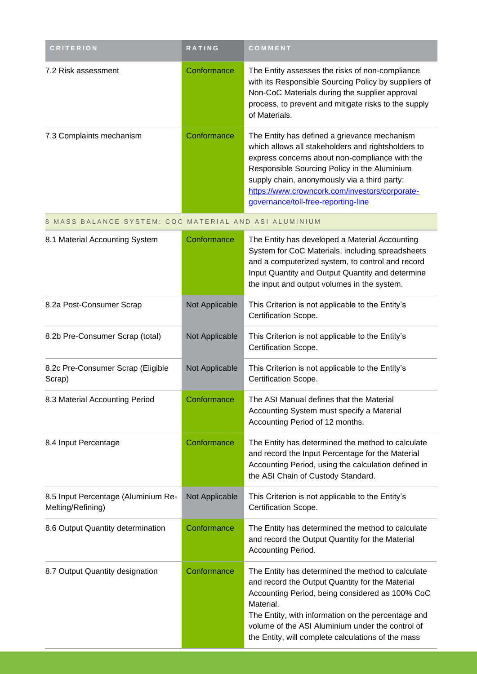| <b>CRITERION</b>                                         | RATING         | COMMENT                                                                                                                                                                                                                                                                                                                                       |
|----------------------------------------------------------|----------------|-----------------------------------------------------------------------------------------------------------------------------------------------------------------------------------------------------------------------------------------------------------------------------------------------------------------------------------------------|
| 7.2 Risk assessment                                      | Conformance    | The Entity assesses the risks of non-compliance<br>with its Responsible Sourcing Policy by suppliers of<br>Non-CoC Materials during the supplier approval<br>process, to prevent and mitigate risks to the supply<br>of Materials.                                                                                                            |
| 7.3 Complaints mechanism                                 | Conformance    | The Entity has defined a grievance mechanism<br>which allows all stakeholders and rightsholders to<br>express concerns about non-compliance with the<br>Responsible Sourcing Policy in the Aluminium<br>supply chain, anonymously via a third party:<br>https://www.crowncork.com/investors/corporate-<br>governance/toll-free-reporting-line |
| 8 MASS BALANCE SYSTEM: COC MATERIAL AND ASI ALUMINIUM    |                |                                                                                                                                                                                                                                                                                                                                               |
| 8.1 Material Accounting System                           | Conformance    | The Entity has developed a Material Accounting<br>System for CoC Materials, including spreadsheets<br>and a computerized system, to control and record<br>Input Quantity and Output Quantity and determine<br>the input and output volumes in the system.                                                                                     |
| 8.2a Post-Consumer Scrap                                 | Not Applicable | This Criterion is not applicable to the Entity's<br>Certification Scope.                                                                                                                                                                                                                                                                      |
| 8.2b Pre-Consumer Scrap (total)                          | Not Applicable | This Criterion is not applicable to the Entity's<br>Certification Scope.                                                                                                                                                                                                                                                                      |
| 8.2c Pre-Consumer Scrap (Eligible<br>Scrap)              | Not Applicable | This Criterion is not applicable to the Entity's<br>Certification Scope.                                                                                                                                                                                                                                                                      |
| 8.3 Material Accounting Period                           | Conformance    | The ASI Manual defines that the Material<br>Accounting System must specify a Material<br>Accounting Period of 12 months.                                                                                                                                                                                                                      |
| 8.4 Input Percentage                                     | Conformance    | The Entity has determined the method to calculate<br>and record the Input Percentage for the Material<br>Accounting Period, using the calculation defined in<br>the ASI Chain of Custody Standard.                                                                                                                                            |
| 8.5 Input Percentage (Aluminium Re-<br>Melting/Refining) | Not Applicable | This Criterion is not applicable to the Entity's<br>Certification Scope.                                                                                                                                                                                                                                                                      |
| 8.6 Output Quantity determination                        | Conformance    | The Entity has determined the method to calculate<br>and record the Output Quantity for the Material<br>Accounting Period.                                                                                                                                                                                                                    |
| 8.7 Output Quantity designation                          | Conformance    | The Entity has determined the method to calculate<br>and record the Output Quantity for the Material<br>Accounting Period, being considered as 100% CoC<br>Material.<br>The Entity, with information on the percentage and<br>volume of the ASI Aluminium under the control of<br>the Entity, will complete calculations of the mass          |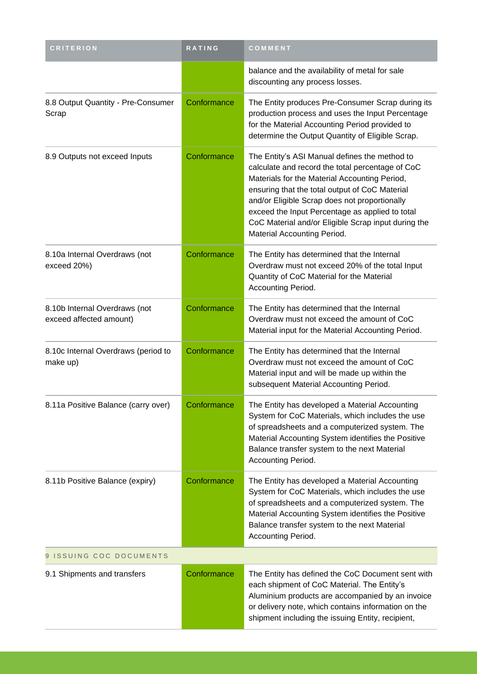| <b>CRITERION</b>                                         | RATING      | COMMENT                                                                                                                                                                                                                                                                                                                                                                                        |  |
|----------------------------------------------------------|-------------|------------------------------------------------------------------------------------------------------------------------------------------------------------------------------------------------------------------------------------------------------------------------------------------------------------------------------------------------------------------------------------------------|--|
|                                                          |             | balance and the availability of metal for sale<br>discounting any process losses.                                                                                                                                                                                                                                                                                                              |  |
| 8.8 Output Quantity - Pre-Consumer<br>Scrap              | Conformance | The Entity produces Pre-Consumer Scrap during its<br>production process and uses the Input Percentage<br>for the Material Accounting Period provided to<br>determine the Output Quantity of Eligible Scrap.                                                                                                                                                                                    |  |
| 8.9 Outputs not exceed Inputs                            | Conformance | The Entity's ASI Manual defines the method to<br>calculate and record the total percentage of CoC<br>Materials for the Material Accounting Period,<br>ensuring that the total output of CoC Material<br>and/or Eligible Scrap does not proportionally<br>exceed the Input Percentage as applied to total<br>CoC Material and/or Eligible Scrap input during the<br>Material Accounting Period. |  |
| 8.10a Internal Overdraws (not<br>exceed 20%)             | Conformance | The Entity has determined that the Internal<br>Overdraw must not exceed 20% of the total Input<br>Quantity of CoC Material for the Material<br>Accounting Period.                                                                                                                                                                                                                              |  |
| 8.10b Internal Overdraws (not<br>exceed affected amount) | Conformance | The Entity has determined that the Internal<br>Overdraw must not exceed the amount of CoC<br>Material input for the Material Accounting Period.                                                                                                                                                                                                                                                |  |
| 8.10c Internal Overdraws (period to<br>make up)          | Conformance | The Entity has determined that the Internal<br>Overdraw must not exceed the amount of CoC<br>Material input and will be made up within the<br>subsequent Material Accounting Period.                                                                                                                                                                                                           |  |
| 8.11a Positive Balance (carry over)                      | Conformance | The Entity has developed a Material Accounting<br>System for CoC Materials, which includes the use<br>of spreadsheets and a computerized system. The<br>Material Accounting System identifies the Positive<br>Balance transfer system to the next Material<br>Accounting Period.                                                                                                               |  |
| 8.11b Positive Balance (expiry)                          | Conformance | The Entity has developed a Material Accounting<br>System for CoC Materials, which includes the use<br>of spreadsheets and a computerized system. The<br>Material Accounting System identifies the Positive<br>Balance transfer system to the next Material<br>Accounting Period.                                                                                                               |  |
| 9 ISSUING COC DOCUMENTS                                  |             |                                                                                                                                                                                                                                                                                                                                                                                                |  |
| 9.1 Shipments and transfers                              | Conformance | The Entity has defined the CoC Document sent with<br>each shipment of CoC Material. The Entity's<br>Aluminium products are accompanied by an invoice<br>or delivery note, which contains information on the<br>shipment including the issuing Entity, recipient,                                                                                                                               |  |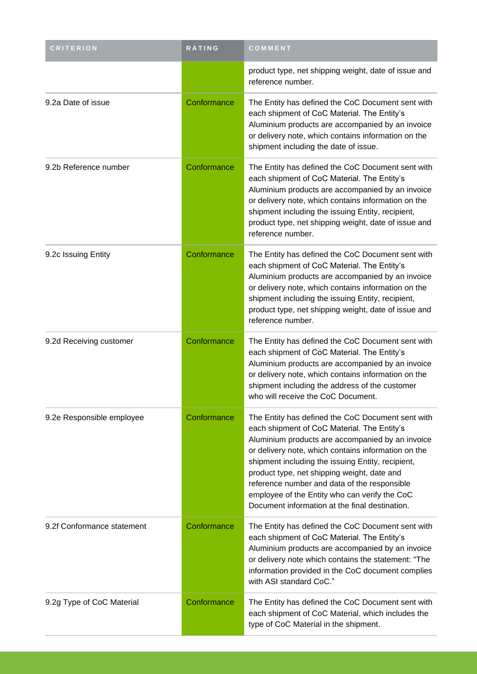| <b>CRITERION</b>           | RATING      | COMMENT                                                                                                                                                                                                                                                                                                                                                                                                                                                            |
|----------------------------|-------------|--------------------------------------------------------------------------------------------------------------------------------------------------------------------------------------------------------------------------------------------------------------------------------------------------------------------------------------------------------------------------------------------------------------------------------------------------------------------|
|                            |             | product type, net shipping weight, date of issue and<br>reference number.                                                                                                                                                                                                                                                                                                                                                                                          |
| 9.2a Date of issue         | Conformance | The Entity has defined the CoC Document sent with<br>each shipment of CoC Material. The Entity's<br>Aluminium products are accompanied by an invoice<br>or delivery note, which contains information on the<br>shipment including the date of issue.                                                                                                                                                                                                               |
| 9.2b Reference number      | Conformance | The Entity has defined the CoC Document sent with<br>each shipment of CoC Material. The Entity's<br>Aluminium products are accompanied by an invoice<br>or delivery note, which contains information on the<br>shipment including the issuing Entity, recipient,<br>product type, net shipping weight, date of issue and<br>reference number.                                                                                                                      |
| 9.2c Issuing Entity        | Conformance | The Entity has defined the CoC Document sent with<br>each shipment of CoC Material. The Entity's<br>Aluminium products are accompanied by an invoice<br>or delivery note, which contains information on the<br>shipment including the issuing Entity, recipient,<br>product type, net shipping weight, date of issue and<br>reference number.                                                                                                                      |
| 9.2d Receiving customer    | Conformance | The Entity has defined the CoC Document sent with<br>each shipment of CoC Material. The Entity's<br>Aluminium products are accompanied by an invoice<br>or delivery note, which contains information on the<br>shipment including the address of the customer<br>who will receive the CoC Document.                                                                                                                                                                |
| 9.2e Responsible employee  | Conformance | The Entity has defined the CoC Document sent with<br>each shipment of CoC Material. The Entity's<br>Aluminium products are accompanied by an invoice<br>or delivery note, which contains information on the<br>shipment including the issuing Entity, recipient,<br>product type, net shipping weight, date and<br>reference number and data of the responsible<br>employee of the Entity who can verify the CoC<br>Document information at the final destination. |
| 9.2f Conformance statement | Conformance | The Entity has defined the CoC Document sent with<br>each shipment of CoC Material. The Entity's<br>Aluminium products are accompanied by an invoice<br>or delivery note which contains the statement: "The<br>information provided in the CoC document complies<br>with ASI standard CoC."                                                                                                                                                                        |
| 9.2g Type of CoC Material  | Conformance | The Entity has defined the CoC Document sent with<br>each shipment of CoC Material, which includes the<br>type of CoC Material in the shipment.                                                                                                                                                                                                                                                                                                                    |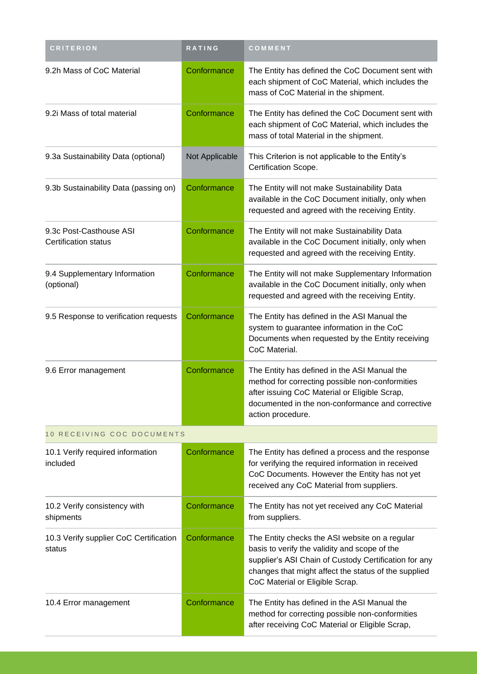| <b>CRITERION</b>                                 | RATING         | COMMENT                                                                                                                                                                                                                                             |
|--------------------------------------------------|----------------|-----------------------------------------------------------------------------------------------------------------------------------------------------------------------------------------------------------------------------------------------------|
| 9.2h Mass of CoC Material                        | Conformance    | The Entity has defined the CoC Document sent with<br>each shipment of CoC Material, which includes the<br>mass of CoC Material in the shipment.                                                                                                     |
| 9.2i Mass of total material                      | Conformance    | The Entity has defined the CoC Document sent with<br>each shipment of CoC Material, which includes the<br>mass of total Material in the shipment.                                                                                                   |
| 9.3a Sustainability Data (optional)              | Not Applicable | This Criterion is not applicable to the Entity's<br>Certification Scope.                                                                                                                                                                            |
| 9.3b Sustainability Data (passing on)            | Conformance    | The Entity will not make Sustainability Data<br>available in the CoC Document initially, only when<br>requested and agreed with the receiving Entity.                                                                                               |
| 9.3c Post-Casthouse ASI<br>Certification status  | Conformance    | The Entity will not make Sustainability Data<br>available in the CoC Document initially, only when<br>requested and agreed with the receiving Entity.                                                                                               |
| 9.4 Supplementary Information<br>(optional)      | Conformance    | The Entity will not make Supplementary Information<br>available in the CoC Document initially, only when<br>requested and agreed with the receiving Entity.                                                                                         |
| 9.5 Response to verification requests            | Conformance    | The Entity has defined in the ASI Manual the<br>system to guarantee information in the CoC<br>Documents when requested by the Entity receiving<br>CoC Material.                                                                                     |
| 9.6 Error management                             | Conformance    | The Entity has defined in the ASI Manual the<br>method for correcting possible non-conformities<br>after issuing CoC Material or Eligible Scrap,<br>documented in the non-conformance and corrective<br>action procedure.                           |
| 10 RECEIVING COC DOCUMENTS                       |                |                                                                                                                                                                                                                                                     |
| 10.1 Verify required information<br>included     | Conformance    | The Entity has defined a process and the response<br>for verifying the required information in received<br>CoC Documents. However the Entity has not yet<br>received any CoC Material from suppliers.                                               |
| 10.2 Verify consistency with<br>shipments        | Conformance    | The Entity has not yet received any CoC Material<br>from suppliers.                                                                                                                                                                                 |
| 10.3 Verify supplier CoC Certification<br>status | Conformance    | The Entity checks the ASI website on a regular<br>basis to verify the validity and scope of the<br>supplier's ASI Chain of Custody Certification for any<br>changes that might affect the status of the supplied<br>CoC Material or Eligible Scrap. |
| 10.4 Error management                            | Conformance    | The Entity has defined in the ASI Manual the<br>method for correcting possible non-conformities<br>after receiving CoC Material or Eligible Scrap,                                                                                                  |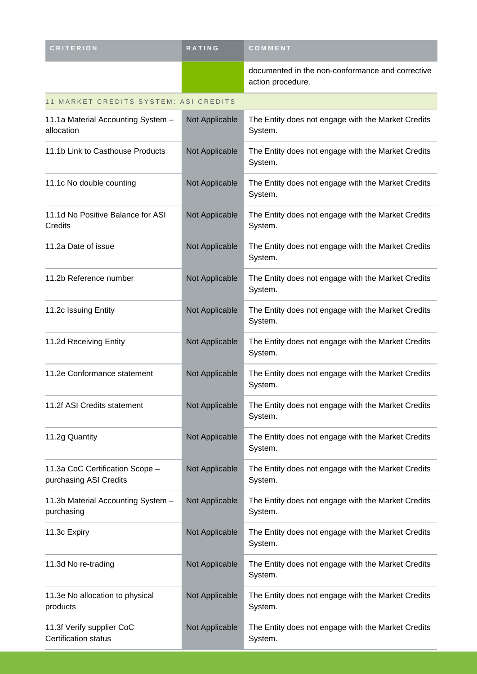| <b>CRITERION</b>                                          | <b>RATING</b>  | COMMENT                                                               |
|-----------------------------------------------------------|----------------|-----------------------------------------------------------------------|
|                                                           |                | documented in the non-conformance and corrective<br>action procedure. |
| 11 MARKET CREDITS SYSTEM: ASI CREDITS                     |                |                                                                       |
| 11.1a Material Accounting System -<br>allocation          | Not Applicable | The Entity does not engage with the Market Credits<br>System.         |
| 11.1b Link to Casthouse Products                          | Not Applicable | The Entity does not engage with the Market Credits<br>System.         |
| 11.1c No double counting                                  | Not Applicable | The Entity does not engage with the Market Credits<br>System.         |
| 11.1d No Positive Balance for ASI<br>Credits              | Not Applicable | The Entity does not engage with the Market Credits<br>System.         |
| 11.2a Date of issue                                       | Not Applicable | The Entity does not engage with the Market Credits<br>System.         |
| 11.2b Reference number                                    | Not Applicable | The Entity does not engage with the Market Credits<br>System.         |
| 11.2c Issuing Entity                                      | Not Applicable | The Entity does not engage with the Market Credits<br>System.         |
| 11.2d Receiving Entity                                    | Not Applicable | The Entity does not engage with the Market Credits<br>System.         |
| 11.2e Conformance statement                               | Not Applicable | The Entity does not engage with the Market Credits<br>System.         |
| 11.2f ASI Credits statement                               | Not Applicable | The Entity does not engage with the Market Credits<br>System.         |
| 11.2g Quantity                                            | Not Applicable | The Entity does not engage with the Market Credits<br>System.         |
| 11.3a CoC Certification Scope -<br>purchasing ASI Credits | Not Applicable | The Entity does not engage with the Market Credits<br>System.         |
| 11.3b Material Accounting System -<br>purchasing          | Not Applicable | The Entity does not engage with the Market Credits<br>System.         |
| 11.3c Expiry                                              | Not Applicable | The Entity does not engage with the Market Credits<br>System.         |
| 11.3d No re-trading                                       | Not Applicable | The Entity does not engage with the Market Credits<br>System.         |
| 11.3e No allocation to physical<br>products               | Not Applicable | The Entity does not engage with the Market Credits<br>System.         |
| 11.3f Verify supplier CoC<br><b>Certification status</b>  | Not Applicable | The Entity does not engage with the Market Credits<br>System.         |